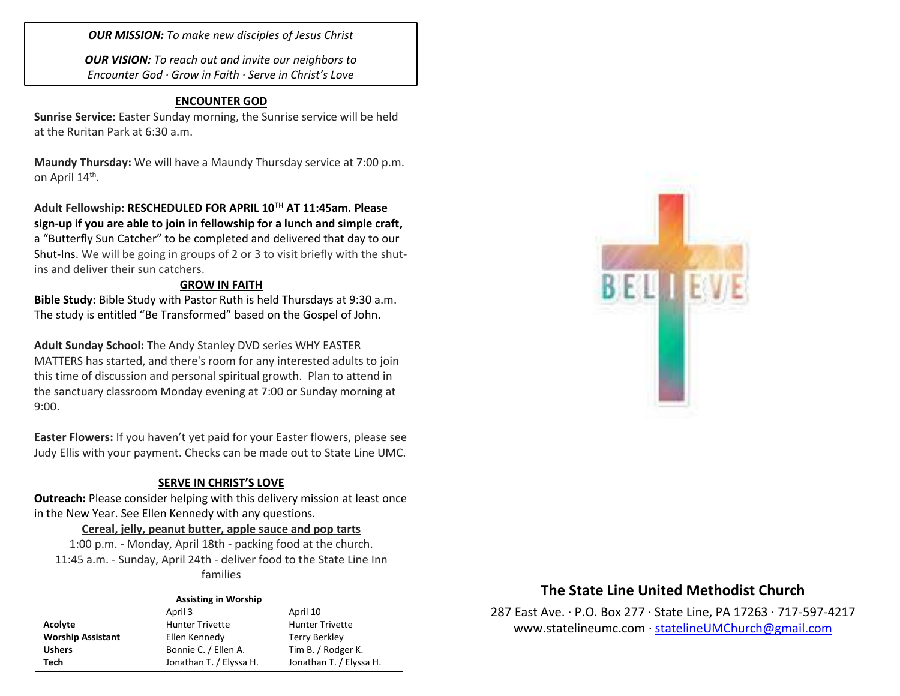*OUR MISSION: To make new disciples of Jesus Christ*

*OUR VISION: To reach out and invite our neighbors to Encounter God · Grow in Faith · Serve in Christ's Love*

#### **ENCOUNTER GOD**

**Sunrise Service:** Easter Sunday morning, the Sunrise service will be held at the Ruritan Park at 6:30 a.m.

**Maundy Thursday:** We will have a Maundy Thursday service at 7:00 p.m. on April 14<sup>th</sup>.

**Adult Fellowship: RESCHEDULED FOR APRIL 10TH AT 11:45am. Please sign-up if you are able to join in fellowship for a lunch and simple craft,**  a "Butterfly Sun Catcher" to be completed and delivered that day to our Shut-Ins. We will be going in groups of 2 or 3 to visit briefly with the shutins and deliver their sun catchers.

#### **GROW IN FAITH**

**Bible Study:** Bible Study with Pastor Ruth is held Thursdays at 9:30 a.m. The study is entitled "Be Transformed" based on the Gospel of John.

**Adult Sunday School:** The Andy Stanley DVD series WHY EASTER MATTERS has started, and there's room for any interested adults to join this time of discussion and personal spiritual growth. Plan to attend in the sanctuary classroom Monday evening at 7:00 or Sunday morning at 9:00.

**Easter Flowers:** If you haven't yet paid for your Easter flowers, please see Judy Ellis with your payment. Checks can be made out to State Line UMC.

### **SERVE IN CHRIST'S LOVE**

**Outreach:** Please consider helping with this delivery mission at least once in the New Year. See Ellen Kennedy with any questions.

#### **Cereal, jelly, peanut butter, apple sauce and pop tarts**

1:00 p.m. - Monday, April 18th - packing food at the church. 11:45 a.m. - Sunday, April 24th - deliver food to the State Line Inn families

#### **Assisting in Worship**

|                          | April 3                                    | April 10                |  |  |
|--------------------------|--------------------------------------------|-------------------------|--|--|
| Acolyte                  | <b>Hunter Trivette</b>                     | <b>Hunter Trivette</b>  |  |  |
| <b>Worship Assistant</b> | Ellen Kennedy                              | Terry Berkley           |  |  |
| <b>Ushers</b>            | Tim B. / Rodger K.<br>Bonnie C. / Ellen A. |                         |  |  |
| Tech                     | Jonathan T. / Elyssa H.                    | Jonathan T. / Elyssa H. |  |  |



# **The State Line United Methodist Church**

287 East Ave. · P.O. Box 277 · State Line, PA 17263 · 717-597-4217 [www.statelineumc.com](http://www.statelineumc.com/) · [statelineUMChurch@gmail.com](mailto:statelineUMChurch@gmail.com)